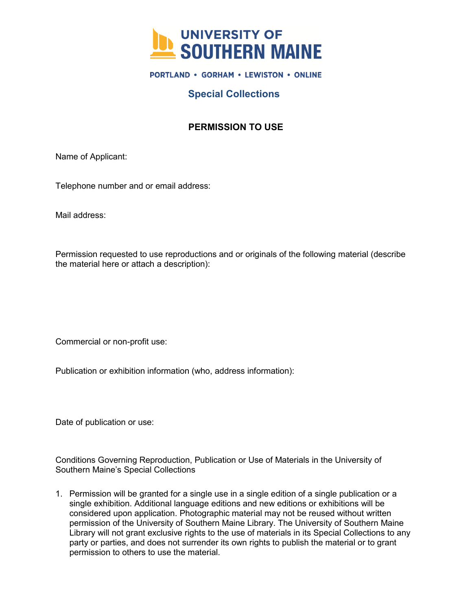

#### **PORTLAND · GORHAM · LEWISTON · ONLINE**

# **Special Collections**

# **PERMISSION TO USE**

Name of Applicant:

Telephone number and or email address:

Mail address:

Permission requested to use reproductions and or originals of the following material (describe the material here or attach a description):

Commercial or non-profit use:

Publication or exhibition information (who, address information):

Date of publication or use:

Conditions Governing Reproduction, Publication or Use of Materials in the University of Southern Maine's Special Collections

1. Permission will be granted for a single use in a single edition of a single publication or a single exhibition. Additional language editions and new editions or exhibitions will be considered upon application. Photographic material may not be reused without written permission of the University of Southern Maine Library. The University of Southern Maine Library will not grant exclusive rights to the use of materials in its Special Collections to any party or parties, and does not surrender its own rights to publish the material or to grant permission to others to use the material.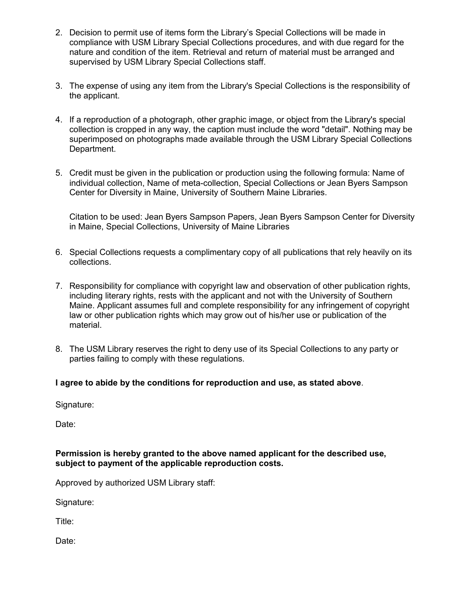- 2. Decision to permit use of items form the Library's Special Collections will be made in compliance with USM Library Special Collections procedures, and with due regard for the nature and condition of the item. Retrieval and return of material must be arranged and supervised by USM Library Special Collections staff.
- 3. The expense of using any item from the Library's Special Collections is the responsibility of the applicant.
- 4. If a reproduction of a photograph, other graphic image, or object from the Library's special collection is cropped in any way, the caption must include the word "detail". Nothing may be superimposed on photographs made available through the USM Library Special Collections Department.
- 5. Credit must be given in the publication or production using the following formula: Name of individual collection, Name of meta-collection, Special Collections or Jean Byers Sampson Center for Diversity in Maine, University of Southern Maine Libraries.

Citation to be used: Jean Byers Sampson Papers, Jean Byers Sampson Center for Diversity in Maine, Special Collections, University of Maine Libraries

- 6. Special Collections requests a complimentary copy of all publications that rely heavily on its collections.
- 7. Responsibility for compliance with copyright law and observation of other publication rights, including literary rights, rests with the applicant and not with the University of Southern Maine. Applicant assumes full and complete responsibility for any infringement of copyright law or other publication rights which may grow out of his/her use or publication of the material.
- 8. The USM Library reserves the right to deny use of its Special Collections to any party or parties failing to comply with these regulations.

### **I agree to abide by the conditions for reproduction and use, as stated above**.

Signature:

Date:

#### **Permission is hereby granted to the above named applicant for the described use, subject to payment of the applicable reproduction costs.**

Approved by authorized USM Library staff:

Signature:

Title:

Date: